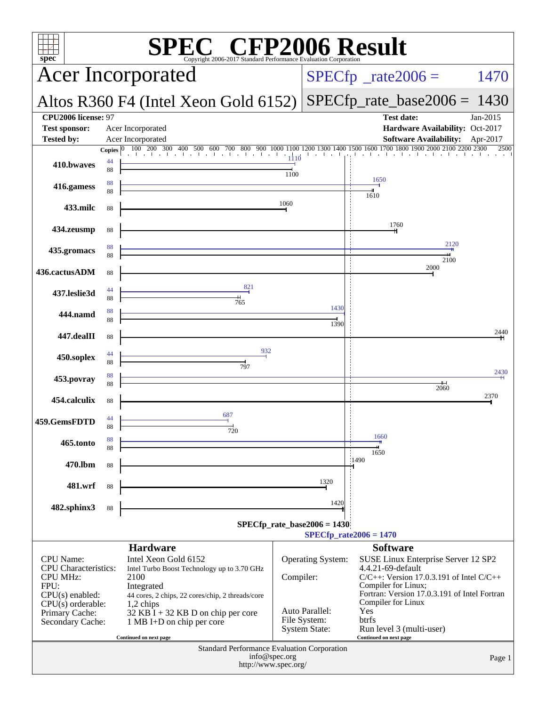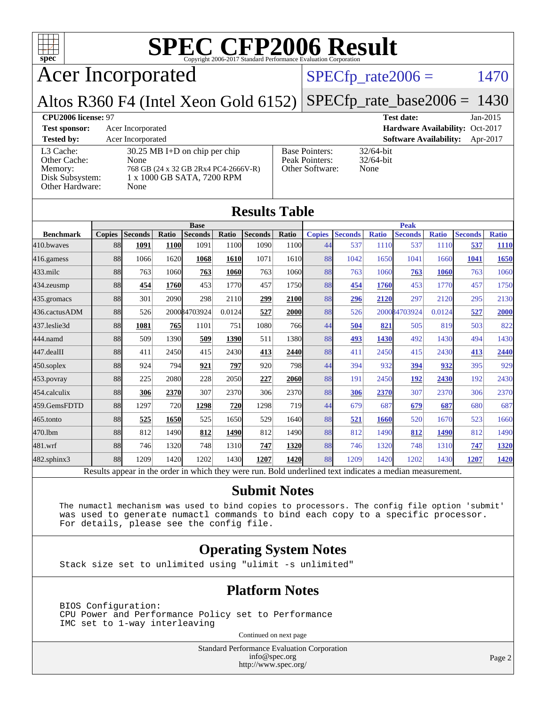

Acer Incorporated

#### $SPECTp_rate2006 = 1470$

#### Altos R360 F4 (Intel Xeon Gold 6152) [SPECfp\\_rate\\_base2006 =](http://www.spec.org/auto/cpu2006/Docs/result-fields.html#SPECfpratebase2006) 1430

| CPU <sub>2006</sub> license: 97                                            |                                                                                                                       |                                                            | <b>Test date:</b><br>$Jan-2015$           |
|----------------------------------------------------------------------------|-----------------------------------------------------------------------------------------------------------------------|------------------------------------------------------------|-------------------------------------------|
| <b>Test sponsor:</b>                                                       | Acer Incorporated                                                                                                     |                                                            | Hardware Availability: Oct-2017           |
| <b>Tested by:</b>                                                          | Acer Incorporated                                                                                                     |                                                            | <b>Software Availability:</b><br>Apr-2017 |
| L3 Cache:<br>Other Cache:<br>Memory:<br>Disk Subsystem:<br>Other Hardware: | $30.25$ MB I+D on chip per chip<br>None<br>768 GB (24 x 32 GB 2Rx4 PC4-2666V-R)<br>1 x 1000 GB SATA, 7200 RPM<br>None | <b>Base Pointers:</b><br>Peak Pointers:<br>Other Software: | $32/64$ -bit<br>$32/64$ -bit<br>None      |

**[Results Table](http://www.spec.org/auto/cpu2006/Docs/result-fields.html#ResultsTable)**

| Results Table                                                                                            |               |                |       |                |        |                |            |               |                |              |                |              |                |              |
|----------------------------------------------------------------------------------------------------------|---------------|----------------|-------|----------------|--------|----------------|------------|---------------|----------------|--------------|----------------|--------------|----------------|--------------|
|                                                                                                          | <b>Base</b>   |                |       |                |        | <b>Peak</b>    |            |               |                |              |                |              |                |              |
| <b>Benchmark</b>                                                                                         | <b>Copies</b> | <b>Seconds</b> | Ratio | <b>Seconds</b> | Ratio  | <b>Seconds</b> | Ratio      | <b>Copies</b> | <b>Seconds</b> | <b>Ratio</b> | <b>Seconds</b> | <b>Ratio</b> | <b>Seconds</b> | <b>Ratio</b> |
| 410.bwaves                                                                                               | 88            | 1091           | 1100  | 1091           | 1100   | 1090           | 1100       | 44            | 537            | 1110         | 537            | 1110         | 537            | <b>1110</b>  |
| 416.gamess                                                                                               | 88            | 1066           | 1620  | 1068           | 1610   | 1071           | 1610       | 88            | 1042           | 1650         | 1041           | 1660         | 1041           | <b>1650</b>  |
| $433$ .milc                                                                                              | 88            | 763            | 1060  | 763            | 1060   | 763            | 1060       | 88            | 763            | 1060         | 763            | 1060         | 763            | 1060         |
| $434$ . zeusmp                                                                                           | 88            | 454            | 1760  | 453            | 1770   | 457            | 1750       | 88            | 454            | 1760         | 453            | 1770         | 457            | 1750         |
| 435.gromacs                                                                                              | 88            | 301            | 2090  | 298            | 2110   | 299            | 2100       | 88            | 296            | 2120         | 297            | 2120         | 295            | 2130         |
| 436.cactusADM                                                                                            | 88            | 526            |       | 200084703924   | 0.0124 | 527            | 2000       | 88            | 526            |              | 200084703924   | 0.0124       | 527            | 2000         |
| 437.leslie3d                                                                                             | 88            | 1081           | 765   | 1101           | 751    | 1080           | 766        | 44            | 504            | 821          | 505            | 819          | 503            | 822          |
| 444.namd                                                                                                 | 88            | 509            | 1390  | 509            | 1390   | 511            | 1380       | 88            | 493            | 1430         | 492            | 1430         | 494            | 1430         |
| 447.dealII                                                                                               | 88            | 411            | 2450  | 415            | 2430   | 413            | 2440       | 88            | 411            | 2450         | 415            | 2430         | 413            | 2440         |
| 450.soplex                                                                                               | 88            | 924            | 794   | 921            | 797    | 920            | 798        | 44            | 394            | 932          | 394            | 932          | 395            | 929          |
| $453$ .povray                                                                                            | 88            | 225            | 2080  | 228            | 2050   | 227            | 2060       | 88            | 191            | 2450         | <b>192</b>     | 2430         | 192            | 2430         |
| 454.calculix                                                                                             | 88            | 306            | 2370  | 307            | 2370   | 306            | 2370       | 88            | 306            | 2370         | 307            | 2370         | 306            | 2370         |
| 459.GemsFDTD                                                                                             | 88            | 1297           | 720   | 1298           | 720    | 1298           | <b>719</b> | 44            | 679            | 687          | 679            | 687          | 680            | 687          |
| $465$ .tonto                                                                                             | 88            | 525            | 1650  | 525            | 1650   | 529            | 1640       | 88            | 521            | 1660         | 520            | 1670         | 523            | 1660         |
| 470.1bm                                                                                                  | 88            | 812            | 1490  | 812            | 1490   | 812            | 1490       | 88            | 812            | 1490         | 812            | 1490         | 812            | 1490         |
| 481.wrf                                                                                                  | 88            | 746            | 1320  | 748            | 1310   | 747            | 1320       | 88            | 746            | 1320         | 748            | 1310         | 747            | 1320         |
| 482.sphinx3                                                                                              | 88            | 1209           | 1420  | 1202           | 1430   | 1207           | 1420       | 88            | 1209           | 1420         | 1202           | 1430         | 1207           | <u>1420</u>  |
| Results appear in the order in which they were run. Bold underlined text indicates a median measurement. |               |                |       |                |        |                |            |               |                |              |                |              |                |              |

#### **[Submit Notes](http://www.spec.org/auto/cpu2006/Docs/result-fields.html#SubmitNotes)**

 The numactl mechanism was used to bind copies to processors. The config file option 'submit' was used to generate numactl commands to bind each copy to a specific processor. For details, please see the config file.

#### **[Operating System Notes](http://www.spec.org/auto/cpu2006/Docs/result-fields.html#OperatingSystemNotes)**

Stack size set to unlimited using "ulimit -s unlimited"

#### **[Platform Notes](http://www.spec.org/auto/cpu2006/Docs/result-fields.html#PlatformNotes)**

 BIOS Configuration: CPU Power and Performance Policy set to Performance IMC set to 1-way interleaving

Continued on next page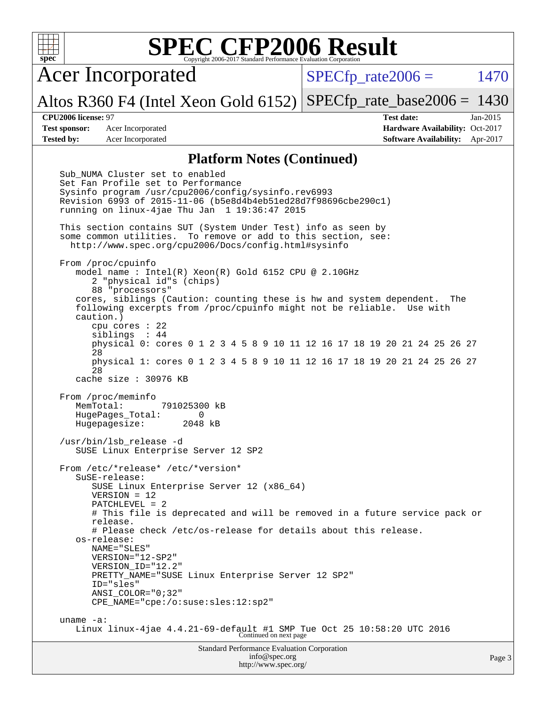Acer Incorporated

 $SPECTp\_rate2006 = 1470$ 

Altos R360 F4 (Intel Xeon Gold 6152) [SPECfp\\_rate\\_base2006 =](http://www.spec.org/auto/cpu2006/Docs/result-fields.html#SPECfpratebase2006) 1430

**[CPU2006 license:](http://www.spec.org/auto/cpu2006/Docs/result-fields.html#CPU2006license)** 97 **[Test date:](http://www.spec.org/auto/cpu2006/Docs/result-fields.html#Testdate)** Jan-2015 **[Test sponsor:](http://www.spec.org/auto/cpu2006/Docs/result-fields.html#Testsponsor)** Acer Incorporated **Acceleration Acer Incorporated <b>[Hardware Availability:](http://www.spec.org/auto/cpu2006/Docs/result-fields.html#HardwareAvailability)** Oct-2017 **[Tested by:](http://www.spec.org/auto/cpu2006/Docs/result-fields.html#Testedby)** Acer Incorporated **[Software Availability:](http://www.spec.org/auto/cpu2006/Docs/result-fields.html#SoftwareAvailability)** Apr-2017

#### **[Platform Notes \(Continued\)](http://www.spec.org/auto/cpu2006/Docs/result-fields.html#PlatformNotes)**

Standard Performance Evaluation Corporation Sub\_NUMA Cluster set to enabled Set Fan Profile set to Performance Sysinfo program /usr/cpu2006/config/sysinfo.rev6993 Revision 6993 of 2015-11-06 (b5e8d4b4eb51ed28d7f98696cbe290c1) running on linux-4jae Thu Jan 1 19:36:47 2015 This section contains SUT (System Under Test) info as seen by some common utilities. To remove or add to this section, see: <http://www.spec.org/cpu2006/Docs/config.html#sysinfo> From /proc/cpuinfo model name : Intel(R) Xeon(R) Gold 6152 CPU @ 2.10GHz 2 "physical id"s (chips) 88 "processors" cores, siblings (Caution: counting these is hw and system dependent. The following excerpts from /proc/cpuinfo might not be reliable. Use with caution.) cpu cores : 22 siblings : 44 physical 0: cores 0 1 2 3 4 5 8 9 10 11 12 16 17 18 19 20 21 24 25 26 27 28 physical 1: cores 0 1 2 3 4 5 8 9 10 11 12 16 17 18 19 20 21 24 25 26 27 28 cache size : 30976 KB From /proc/meminfo MemTotal: 791025300 kB HugePages\_Total: 0<br>Hugepagesize: 2048 kB Hugepagesize: /usr/bin/lsb\_release -d SUSE Linux Enterprise Server 12 SP2 From /etc/\*release\* /etc/\*version\* SuSE-release: SUSE Linux Enterprise Server 12 (x86\_64) VERSION = 12 PATCHLEVEL = 2 # This file is deprecated and will be removed in a future service pack or release. # Please check /etc/os-release for details about this release. os-release: NAME="SLES" VERSION="12-SP2" VERSION\_ID="12.2" PRETTY\_NAME="SUSE Linux Enterprise Server 12 SP2" ID="sles" ANSI\_COLOR="0;32" CPE\_NAME="cpe:/o:suse:sles:12:sp2" uname -a: Linux linux-4jae 4.4.21-69-default #1 SMP Tue Oct 25 10:58:20 UTC 2016 Continued on next page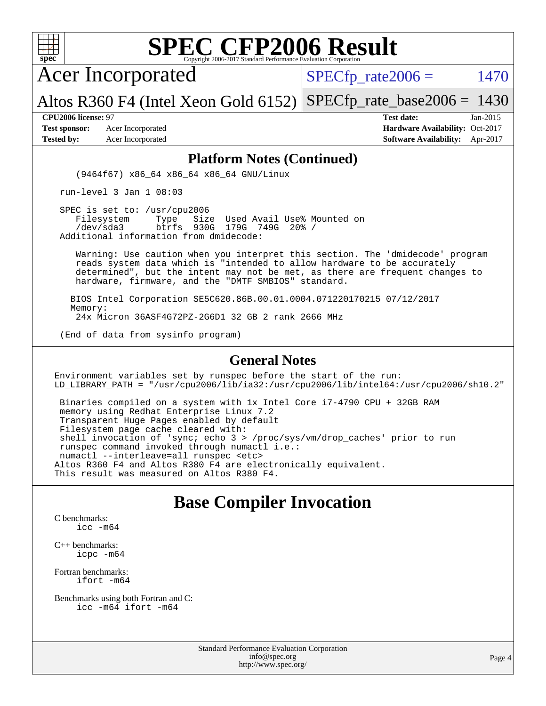

Acer Incorporated

 $SPECTp\_rate2006 = 1470$ 

Altos R360 F4 (Intel Xeon Gold 6152) [SPECfp\\_rate\\_base2006 =](http://www.spec.org/auto/cpu2006/Docs/result-fields.html#SPECfpratebase2006) 1430

**[Test sponsor:](http://www.spec.org/auto/cpu2006/Docs/result-fields.html#Testsponsor)** Acer Incorporated **Acceleration Acer Incorporated <b>[Hardware Availability:](http://www.spec.org/auto/cpu2006/Docs/result-fields.html#HardwareAvailability)** Oct-2017 **[Tested by:](http://www.spec.org/auto/cpu2006/Docs/result-fields.html#Testedby)** Acer Incorporated **[Software Availability:](http://www.spec.org/auto/cpu2006/Docs/result-fields.html#SoftwareAvailability)** Apr-2017

**[CPU2006 license:](http://www.spec.org/auto/cpu2006/Docs/result-fields.html#CPU2006license)** 97 **[Test date:](http://www.spec.org/auto/cpu2006/Docs/result-fields.html#Testdate)** Jan-2015

#### **[Platform Notes \(Continued\)](http://www.spec.org/auto/cpu2006/Docs/result-fields.html#PlatformNotes)**

(9464f67) x86\_64 x86\_64 x86\_64 GNU/Linux

run-level 3 Jan 1 08:03

SPEC is set to: /usr/cpu2006<br>Filesystem Type Siz Size Used Avail Use% Mounted on /dev/sda3 btrfs 930G 179G 749G 20% / Additional information from dmidecode:

 Warning: Use caution when you interpret this section. The 'dmidecode' program reads system data which is "intended to allow hardware to be accurately determined", but the intent may not be met, as there are frequent changes to hardware, firmware, and the "DMTF SMBIOS" standard.

 BIOS Intel Corporation SE5C620.86B.00.01.0004.071220170215 07/12/2017 Memory: 24x Micron 36ASF4G72PZ-2G6D1 32 GB 2 rank 2666 MHz

(End of data from sysinfo program)

#### **[General Notes](http://www.spec.org/auto/cpu2006/Docs/result-fields.html#GeneralNotes)**

Environment variables set by runspec before the start of the run: LD\_LIBRARY\_PATH = "/usr/cpu2006/lib/ia32:/usr/cpu2006/lib/intel64:/usr/cpu2006/sh10.2"

 Binaries compiled on a system with 1x Intel Core i7-4790 CPU + 32GB RAM memory using Redhat Enterprise Linux 7.2 Transparent Huge Pages enabled by default Filesystem page cache cleared with: shell invocation of 'sync; echo 3 > /proc/sys/vm/drop\_caches' prior to run runspec command invoked through numactl i.e.: numactl --interleave=all runspec <etc> Altos R360 F4 and Altos R380 F4 are electronically equivalent. This result was measured on Altos R380 F4.

### **[Base Compiler Invocation](http://www.spec.org/auto/cpu2006/Docs/result-fields.html#BaseCompilerInvocation)**

[C benchmarks](http://www.spec.org/auto/cpu2006/Docs/result-fields.html#Cbenchmarks): [icc -m64](http://www.spec.org/cpu2006/results/res2017q4/cpu2006-20170918-49394.flags.html#user_CCbase_intel_icc_64bit_bda6cc9af1fdbb0edc3795bac97ada53)

[C++ benchmarks:](http://www.spec.org/auto/cpu2006/Docs/result-fields.html#CXXbenchmarks) [icpc -m64](http://www.spec.org/cpu2006/results/res2017q4/cpu2006-20170918-49394.flags.html#user_CXXbase_intel_icpc_64bit_fc66a5337ce925472a5c54ad6a0de310)

[Fortran benchmarks](http://www.spec.org/auto/cpu2006/Docs/result-fields.html#Fortranbenchmarks): [ifort -m64](http://www.spec.org/cpu2006/results/res2017q4/cpu2006-20170918-49394.flags.html#user_FCbase_intel_ifort_64bit_ee9d0fb25645d0210d97eb0527dcc06e)

[Benchmarks using both Fortran and C](http://www.spec.org/auto/cpu2006/Docs/result-fields.html#BenchmarksusingbothFortranandC): [icc -m64](http://www.spec.org/cpu2006/results/res2017q4/cpu2006-20170918-49394.flags.html#user_CC_FCbase_intel_icc_64bit_bda6cc9af1fdbb0edc3795bac97ada53) [ifort -m64](http://www.spec.org/cpu2006/results/res2017q4/cpu2006-20170918-49394.flags.html#user_CC_FCbase_intel_ifort_64bit_ee9d0fb25645d0210d97eb0527dcc06e)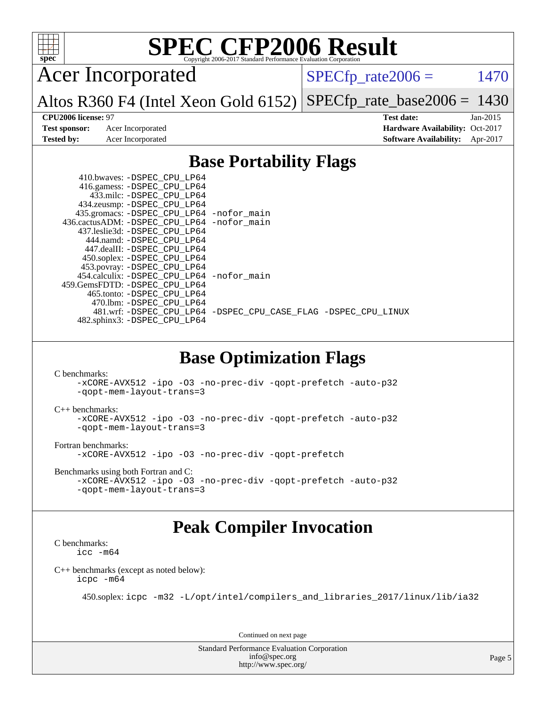

Acer Incorporated

 $SPECTp_rate2006 = 1470$ 

Altos R360 F4 (Intel Xeon Gold 6152) [SPECfp\\_rate\\_base2006 =](http://www.spec.org/auto/cpu2006/Docs/result-fields.html#SPECfpratebase2006) 1430

**[Test sponsor:](http://www.spec.org/auto/cpu2006/Docs/result-fields.html#Testsponsor)** Acer Incorporated **Acceleration Acer Incorporated <b>[Hardware Availability:](http://www.spec.org/auto/cpu2006/Docs/result-fields.html#HardwareAvailability)** Oct-2017

**[CPU2006 license:](http://www.spec.org/auto/cpu2006/Docs/result-fields.html#CPU2006license)** 97 **[Test date:](http://www.spec.org/auto/cpu2006/Docs/result-fields.html#Testdate)** Jan-2015 **[Tested by:](http://www.spec.org/auto/cpu2006/Docs/result-fields.html#Testedby)** Acer Incorporated **[Software Availability:](http://www.spec.org/auto/cpu2006/Docs/result-fields.html#SoftwareAvailability)** Apr-2017

### **[Base Portability Flags](http://www.spec.org/auto/cpu2006/Docs/result-fields.html#BasePortabilityFlags)**

| 435.gromacs: -DSPEC_CPU_LP64 -nofor_main                       |
|----------------------------------------------------------------|
| 436.cactusADM: -DSPEC CPU LP64 -nofor main                     |
|                                                                |
|                                                                |
|                                                                |
|                                                                |
|                                                                |
| 454.calculix: - DSPEC_CPU_LP64 -nofor_main                     |
|                                                                |
|                                                                |
|                                                                |
| 481.wrf: -DSPEC CPU_LP64 -DSPEC_CPU_CASE_FLAG -DSPEC_CPU_LINUX |
|                                                                |
|                                                                |

### **[Base Optimization Flags](http://www.spec.org/auto/cpu2006/Docs/result-fields.html#BaseOptimizationFlags)**

[C benchmarks](http://www.spec.org/auto/cpu2006/Docs/result-fields.html#Cbenchmarks):

```
-xCORE-AVX512 -ipo -O3 -no-prec-div -qopt-prefetch -auto-p32
-qopt-mem-layout-trans=3
```
[C++ benchmarks:](http://www.spec.org/auto/cpu2006/Docs/result-fields.html#CXXbenchmarks)

```
-xCORE-AVX512 -ipo -O3 -no-prec-div -qopt-prefetch -auto-p32
-qopt-mem-layout-trans=3
```
[Fortran benchmarks](http://www.spec.org/auto/cpu2006/Docs/result-fields.html#Fortranbenchmarks):

[-xCORE-AVX512](http://www.spec.org/cpu2006/results/res2017q4/cpu2006-20170918-49394.flags.html#user_FCbase_f-xCORE-AVX512) [-ipo](http://www.spec.org/cpu2006/results/res2017q4/cpu2006-20170918-49394.flags.html#user_FCbase_f-ipo) [-O3](http://www.spec.org/cpu2006/results/res2017q4/cpu2006-20170918-49394.flags.html#user_FCbase_f-O3) [-no-prec-div](http://www.spec.org/cpu2006/results/res2017q4/cpu2006-20170918-49394.flags.html#user_FCbase_f-no-prec-div) [-qopt-prefetch](http://www.spec.org/cpu2006/results/res2017q4/cpu2006-20170918-49394.flags.html#user_FCbase_f-qopt-prefetch)

[Benchmarks using both Fortran and C](http://www.spec.org/auto/cpu2006/Docs/result-fields.html#BenchmarksusingbothFortranandC):

```
-xCORE-AVX512 -ipo -O3 -no-prec-div -qopt-prefetch -auto-p32
-qopt-mem-layout-trans=3
```
### **[Peak Compiler Invocation](http://www.spec.org/auto/cpu2006/Docs/result-fields.html#PeakCompilerInvocation)**

[C benchmarks](http://www.spec.org/auto/cpu2006/Docs/result-fields.html#Cbenchmarks): [icc -m64](http://www.spec.org/cpu2006/results/res2017q4/cpu2006-20170918-49394.flags.html#user_CCpeak_intel_icc_64bit_bda6cc9af1fdbb0edc3795bac97ada53)

[C++ benchmarks \(except as noted below\):](http://www.spec.org/auto/cpu2006/Docs/result-fields.html#CXXbenchmarksexceptasnotedbelow) [icpc -m64](http://www.spec.org/cpu2006/results/res2017q4/cpu2006-20170918-49394.flags.html#user_CXXpeak_intel_icpc_64bit_fc66a5337ce925472a5c54ad6a0de310)

450.soplex: [icpc -m32 -L/opt/intel/compilers\\_and\\_libraries\\_2017/linux/lib/ia32](http://www.spec.org/cpu2006/results/res2017q4/cpu2006-20170918-49394.flags.html#user_peakCXXLD450_soplex_intel_icpc_8c35c7808b62dab9ae41a1aa06361b6b)

Continued on next page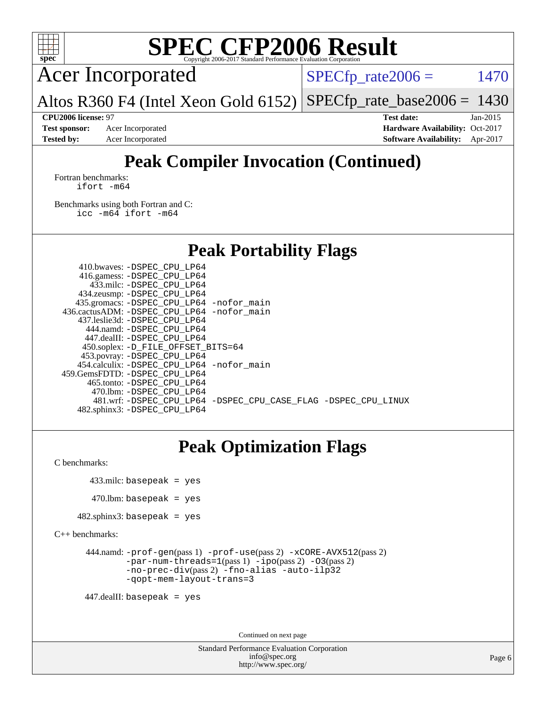

Acer Incorporated

 $SPECTp\_rate2006 = 1470$ 

Altos R360 F4 (Intel Xeon Gold 6152) [SPECfp\\_rate\\_base2006 =](http://www.spec.org/auto/cpu2006/Docs/result-fields.html#SPECfpratebase2006)  $1430$ 

**[CPU2006 license:](http://www.spec.org/auto/cpu2006/Docs/result-fields.html#CPU2006license)** 97 **[Test date:](http://www.spec.org/auto/cpu2006/Docs/result-fields.html#Testdate)** Jan-2015 **[Test sponsor:](http://www.spec.org/auto/cpu2006/Docs/result-fields.html#Testsponsor)** Acer Incorporated **Acceleration Availability:** Oct-2017 **[Tested by:](http://www.spec.org/auto/cpu2006/Docs/result-fields.html#Testedby)** Acer Incorporated **[Software Availability:](http://www.spec.org/auto/cpu2006/Docs/result-fields.html#SoftwareAvailability)** Apr-2017

## **[Peak Compiler Invocation \(Continued\)](http://www.spec.org/auto/cpu2006/Docs/result-fields.html#PeakCompilerInvocation)**

[Fortran benchmarks](http://www.spec.org/auto/cpu2006/Docs/result-fields.html#Fortranbenchmarks): [ifort -m64](http://www.spec.org/cpu2006/results/res2017q4/cpu2006-20170918-49394.flags.html#user_FCpeak_intel_ifort_64bit_ee9d0fb25645d0210d97eb0527dcc06e)

[Benchmarks using both Fortran and C](http://www.spec.org/auto/cpu2006/Docs/result-fields.html#BenchmarksusingbothFortranandC): [icc -m64](http://www.spec.org/cpu2006/results/res2017q4/cpu2006-20170918-49394.flags.html#user_CC_FCpeak_intel_icc_64bit_bda6cc9af1fdbb0edc3795bac97ada53) [ifort -m64](http://www.spec.org/cpu2006/results/res2017q4/cpu2006-20170918-49394.flags.html#user_CC_FCpeak_intel_ifort_64bit_ee9d0fb25645d0210d97eb0527dcc06e)

### **[Peak Portability Flags](http://www.spec.org/auto/cpu2006/Docs/result-fields.html#PeakPortabilityFlags)**

 410.bwaves: [-DSPEC\\_CPU\\_LP64](http://www.spec.org/cpu2006/results/res2017q4/cpu2006-20170918-49394.flags.html#suite_peakPORTABILITY410_bwaves_DSPEC_CPU_LP64) 416.gamess: [-DSPEC\\_CPU\\_LP64](http://www.spec.org/cpu2006/results/res2017q4/cpu2006-20170918-49394.flags.html#suite_peakPORTABILITY416_gamess_DSPEC_CPU_LP64) 433.milc: [-DSPEC\\_CPU\\_LP64](http://www.spec.org/cpu2006/results/res2017q4/cpu2006-20170918-49394.flags.html#suite_peakPORTABILITY433_milc_DSPEC_CPU_LP64) 434.zeusmp: [-DSPEC\\_CPU\\_LP64](http://www.spec.org/cpu2006/results/res2017q4/cpu2006-20170918-49394.flags.html#suite_peakPORTABILITY434_zeusmp_DSPEC_CPU_LP64) 435.gromacs: [-DSPEC\\_CPU\\_LP64](http://www.spec.org/cpu2006/results/res2017q4/cpu2006-20170918-49394.flags.html#suite_peakPORTABILITY435_gromacs_DSPEC_CPU_LP64) [-nofor\\_main](http://www.spec.org/cpu2006/results/res2017q4/cpu2006-20170918-49394.flags.html#user_peakLDPORTABILITY435_gromacs_f-nofor_main) 436.cactusADM: [-DSPEC\\_CPU\\_LP64](http://www.spec.org/cpu2006/results/res2017q4/cpu2006-20170918-49394.flags.html#suite_peakPORTABILITY436_cactusADM_DSPEC_CPU_LP64) [-nofor\\_main](http://www.spec.org/cpu2006/results/res2017q4/cpu2006-20170918-49394.flags.html#user_peakLDPORTABILITY436_cactusADM_f-nofor_main) 437.leslie3d: [-DSPEC\\_CPU\\_LP64](http://www.spec.org/cpu2006/results/res2017q4/cpu2006-20170918-49394.flags.html#suite_peakPORTABILITY437_leslie3d_DSPEC_CPU_LP64) 444.namd: [-DSPEC\\_CPU\\_LP64](http://www.spec.org/cpu2006/results/res2017q4/cpu2006-20170918-49394.flags.html#suite_peakPORTABILITY444_namd_DSPEC_CPU_LP64) 447.dealII: [-DSPEC\\_CPU\\_LP64](http://www.spec.org/cpu2006/results/res2017q4/cpu2006-20170918-49394.flags.html#suite_peakPORTABILITY447_dealII_DSPEC_CPU_LP64) 450.soplex: [-D\\_FILE\\_OFFSET\\_BITS=64](http://www.spec.org/cpu2006/results/res2017q4/cpu2006-20170918-49394.flags.html#user_peakPORTABILITY450_soplex_file_offset_bits_64_438cf9856305ebd76870a2c6dc2689ab) 453.povray: [-DSPEC\\_CPU\\_LP64](http://www.spec.org/cpu2006/results/res2017q4/cpu2006-20170918-49394.flags.html#suite_peakPORTABILITY453_povray_DSPEC_CPU_LP64) 454.calculix: [-DSPEC\\_CPU\\_LP64](http://www.spec.org/cpu2006/results/res2017q4/cpu2006-20170918-49394.flags.html#suite_peakPORTABILITY454_calculix_DSPEC_CPU_LP64) [-nofor\\_main](http://www.spec.org/cpu2006/results/res2017q4/cpu2006-20170918-49394.flags.html#user_peakLDPORTABILITY454_calculix_f-nofor_main) 459.GemsFDTD: [-DSPEC\\_CPU\\_LP64](http://www.spec.org/cpu2006/results/res2017q4/cpu2006-20170918-49394.flags.html#suite_peakPORTABILITY459_GemsFDTD_DSPEC_CPU_LP64) 465.tonto: [-DSPEC\\_CPU\\_LP64](http://www.spec.org/cpu2006/results/res2017q4/cpu2006-20170918-49394.flags.html#suite_peakPORTABILITY465_tonto_DSPEC_CPU_LP64) 470.lbm: [-DSPEC\\_CPU\\_LP64](http://www.spec.org/cpu2006/results/res2017q4/cpu2006-20170918-49394.flags.html#suite_peakPORTABILITY470_lbm_DSPEC_CPU_LP64) 481.wrf: [-DSPEC\\_CPU\\_LP64](http://www.spec.org/cpu2006/results/res2017q4/cpu2006-20170918-49394.flags.html#suite_peakPORTABILITY481_wrf_DSPEC_CPU_LP64) [-DSPEC\\_CPU\\_CASE\\_FLAG](http://www.spec.org/cpu2006/results/res2017q4/cpu2006-20170918-49394.flags.html#b481.wrf_peakCPORTABILITY_DSPEC_CPU_CASE_FLAG) [-DSPEC\\_CPU\\_LINUX](http://www.spec.org/cpu2006/results/res2017q4/cpu2006-20170918-49394.flags.html#b481.wrf_peakCPORTABILITY_DSPEC_CPU_LINUX) 482.sphinx3: [-DSPEC\\_CPU\\_LP64](http://www.spec.org/cpu2006/results/res2017q4/cpu2006-20170918-49394.flags.html#suite_peakPORTABILITY482_sphinx3_DSPEC_CPU_LP64)

## **[Peak Optimization Flags](http://www.spec.org/auto/cpu2006/Docs/result-fields.html#PeakOptimizationFlags)**

[C benchmarks](http://www.spec.org/auto/cpu2006/Docs/result-fields.html#Cbenchmarks):

433.milc: basepeak = yes

```
470.lbm: basepeak = yes
```

```
482.sphinx3: basepeak = yes
```
[C++ benchmarks:](http://www.spec.org/auto/cpu2006/Docs/result-fields.html#CXXbenchmarks)

```
 444.namd: -prof-gen(pass 1) -prof-use(pass 2) -xCORE-AVX512(pass 2)
        -par-num-threads=1(pass 1) -ipo(pass 2) -O3(pass 2)
        -no-prec-div(pass 2) -fno-alias -auto-ilp32
        -qopt-mem-layout-trans=3
```
447.dealII: basepeak = yes

Continued on next page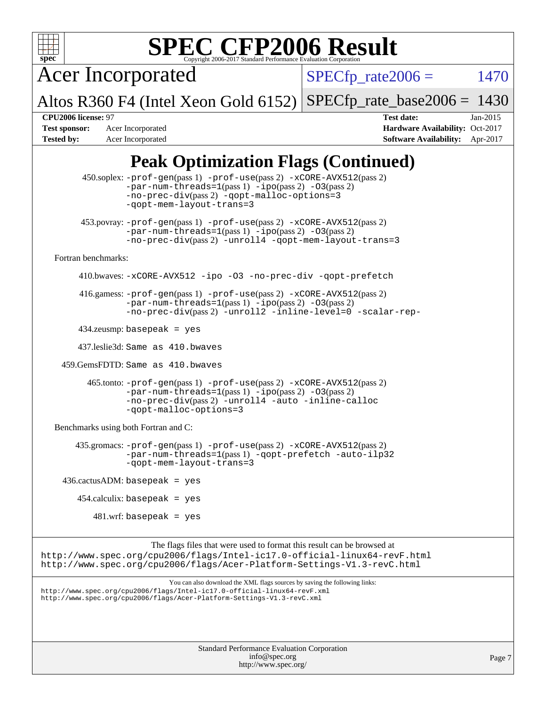

Acer Incorporated

 $SPECTp\_rate2006 = 1470$ 

Altos R360 F4 (Intel Xeon Gold 6152) [SPECfp\\_rate\\_base2006 =](http://www.spec.org/auto/cpu2006/Docs/result-fields.html#SPECfpratebase2006)  $1430$ 

**[Test sponsor:](http://www.spec.org/auto/cpu2006/Docs/result-fields.html#Testsponsor)** Acer Incorporated **Acceleration Availability:** Oct-2017 **[Tested by:](http://www.spec.org/auto/cpu2006/Docs/result-fields.html#Testedby)** Acer Incorporated **[Software Availability:](http://www.spec.org/auto/cpu2006/Docs/result-fields.html#SoftwareAvailability)** Apr-2017

**[CPU2006 license:](http://www.spec.org/auto/cpu2006/Docs/result-fields.html#CPU2006license)** 97 **[Test date:](http://www.spec.org/auto/cpu2006/Docs/result-fields.html#Testdate)** Jan-2015

## **[Peak Optimization Flags \(Continued\)](http://www.spec.org/auto/cpu2006/Docs/result-fields.html#PeakOptimizationFlags)**

Standard Performance Evaluation Corporation [info@spec.org](mailto:info@spec.org) 450.soplex: [-prof-gen](http://www.spec.org/cpu2006/results/res2017q4/cpu2006-20170918-49394.flags.html#user_peakPASS1_CXXFLAGSPASS1_LDFLAGS450_soplex_prof_gen_e43856698f6ca7b7e442dfd80e94a8fc)(pass 1) [-prof-use](http://www.spec.org/cpu2006/results/res2017q4/cpu2006-20170918-49394.flags.html#user_peakPASS2_CXXFLAGSPASS2_LDFLAGS450_soplex_prof_use_bccf7792157ff70d64e32fe3e1250b55)(pass 2) [-xCORE-AVX512](http://www.spec.org/cpu2006/results/res2017q4/cpu2006-20170918-49394.flags.html#user_peakPASS2_CXXFLAGSPASS2_LDFLAGS450_soplex_f-xCORE-AVX512)(pass 2) [-par-num-threads=1](http://www.spec.org/cpu2006/results/res2017q4/cpu2006-20170918-49394.flags.html#user_peakPASS1_CXXFLAGSPASS1_LDFLAGS450_soplex_par_num_threads_786a6ff141b4e9e90432e998842df6c2)(pass 1) [-ipo](http://www.spec.org/cpu2006/results/res2017q4/cpu2006-20170918-49394.flags.html#user_peakPASS2_CXXFLAGSPASS2_LDFLAGS450_soplex_f-ipo)(pass 2) [-O3](http://www.spec.org/cpu2006/results/res2017q4/cpu2006-20170918-49394.flags.html#user_peakPASS2_CXXFLAGSPASS2_LDFLAGS450_soplex_f-O3)(pass 2) [-no-prec-div](http://www.spec.org/cpu2006/results/res2017q4/cpu2006-20170918-49394.flags.html#user_peakPASS2_CXXFLAGSPASS2_LDFLAGS450_soplex_f-no-prec-div)(pass 2) [-qopt-malloc-options=3](http://www.spec.org/cpu2006/results/res2017q4/cpu2006-20170918-49394.flags.html#user_peakOPTIMIZE450_soplex_f-qopt-malloc-options_0fcb435012e78f27d57f473818e45fe4) [-qopt-mem-layout-trans=3](http://www.spec.org/cpu2006/results/res2017q4/cpu2006-20170918-49394.flags.html#user_peakCXXOPTIMIZE450_soplex_f-qopt-mem-layout-trans_170f5be61cd2cedc9b54468c59262d5d) 453.povray: [-prof-gen](http://www.spec.org/cpu2006/results/res2017q4/cpu2006-20170918-49394.flags.html#user_peakPASS1_CXXFLAGSPASS1_LDFLAGS453_povray_prof_gen_e43856698f6ca7b7e442dfd80e94a8fc)(pass 1) [-prof-use](http://www.spec.org/cpu2006/results/res2017q4/cpu2006-20170918-49394.flags.html#user_peakPASS2_CXXFLAGSPASS2_LDFLAGS453_povray_prof_use_bccf7792157ff70d64e32fe3e1250b55)(pass 2) [-xCORE-AVX512](http://www.spec.org/cpu2006/results/res2017q4/cpu2006-20170918-49394.flags.html#user_peakPASS2_CXXFLAGSPASS2_LDFLAGS453_povray_f-xCORE-AVX512)(pass 2)  $-par-num-threads=1(pass 1) -ipo(pass 2) -O3(pass 2)$  $-par-num-threads=1(pass 1) -ipo(pass 2) -O3(pass 2)$  $-par-num-threads=1(pass 1) -ipo(pass 2) -O3(pass 2)$  $-par-num-threads=1(pass 1) -ipo(pass 2) -O3(pass 2)$  $-par-num-threads=1(pass 1) -ipo(pass 2) -O3(pass 2)$  $-par-num-threads=1(pass 1) -ipo(pass 2) -O3(pass 2)$ [-no-prec-div](http://www.spec.org/cpu2006/results/res2017q4/cpu2006-20170918-49394.flags.html#user_peakPASS2_CXXFLAGSPASS2_LDFLAGS453_povray_f-no-prec-div)(pass 2) [-unroll4](http://www.spec.org/cpu2006/results/res2017q4/cpu2006-20170918-49394.flags.html#user_peakCXXOPTIMIZE453_povray_f-unroll_4e5e4ed65b7fd20bdcd365bec371b81f) [-qopt-mem-layout-trans=3](http://www.spec.org/cpu2006/results/res2017q4/cpu2006-20170918-49394.flags.html#user_peakCXXOPTIMIZE453_povray_f-qopt-mem-layout-trans_170f5be61cd2cedc9b54468c59262d5d) [Fortran benchmarks](http://www.spec.org/auto/cpu2006/Docs/result-fields.html#Fortranbenchmarks): 410.bwaves: [-xCORE-AVX512](http://www.spec.org/cpu2006/results/res2017q4/cpu2006-20170918-49394.flags.html#user_peakOPTIMIZE410_bwaves_f-xCORE-AVX512) [-ipo](http://www.spec.org/cpu2006/results/res2017q4/cpu2006-20170918-49394.flags.html#user_peakOPTIMIZE410_bwaves_f-ipo) [-O3](http://www.spec.org/cpu2006/results/res2017q4/cpu2006-20170918-49394.flags.html#user_peakOPTIMIZE410_bwaves_f-O3) [-no-prec-div](http://www.spec.org/cpu2006/results/res2017q4/cpu2006-20170918-49394.flags.html#user_peakOPTIMIZE410_bwaves_f-no-prec-div) [-qopt-prefetch](http://www.spec.org/cpu2006/results/res2017q4/cpu2006-20170918-49394.flags.html#user_peakOPTIMIZE410_bwaves_f-qopt-prefetch) 416.gamess: [-prof-gen](http://www.spec.org/cpu2006/results/res2017q4/cpu2006-20170918-49394.flags.html#user_peakPASS1_FFLAGSPASS1_LDFLAGS416_gamess_prof_gen_e43856698f6ca7b7e442dfd80e94a8fc)(pass 1) [-prof-use](http://www.spec.org/cpu2006/results/res2017q4/cpu2006-20170918-49394.flags.html#user_peakPASS2_FFLAGSPASS2_LDFLAGS416_gamess_prof_use_bccf7792157ff70d64e32fe3e1250b55)(pass 2) [-xCORE-AVX512](http://www.spec.org/cpu2006/results/res2017q4/cpu2006-20170918-49394.flags.html#user_peakPASS2_FFLAGSPASS2_LDFLAGS416_gamess_f-xCORE-AVX512)(pass 2)  $-$ par-num-threads=1(pass 1)  $-$ ipo(pass 2)  $-$ O3(pass 2) [-no-prec-div](http://www.spec.org/cpu2006/results/res2017q4/cpu2006-20170918-49394.flags.html#user_peakPASS2_FFLAGSPASS2_LDFLAGS416_gamess_f-no-prec-div)(pass 2) [-unroll2](http://www.spec.org/cpu2006/results/res2017q4/cpu2006-20170918-49394.flags.html#user_peakOPTIMIZE416_gamess_f-unroll_784dae83bebfb236979b41d2422d7ec2) [-inline-level=0](http://www.spec.org/cpu2006/results/res2017q4/cpu2006-20170918-49394.flags.html#user_peakOPTIMIZE416_gamess_f-inline-level_318d07a09274ad25e8d15dbfaa68ba50) [-scalar-rep-](http://www.spec.org/cpu2006/results/res2017q4/cpu2006-20170918-49394.flags.html#user_peakOPTIMIZE416_gamess_f-disablescalarrep_abbcad04450fb118e4809c81d83c8a1d) 434.zeusmp: basepeak = yes 437.leslie3d: Same as 410.bwaves 459.GemsFDTD: Same as 410.bwaves 465.tonto: [-prof-gen](http://www.spec.org/cpu2006/results/res2017q4/cpu2006-20170918-49394.flags.html#user_peakPASS1_FFLAGSPASS1_LDFLAGS465_tonto_prof_gen_e43856698f6ca7b7e442dfd80e94a8fc)(pass 1) [-prof-use](http://www.spec.org/cpu2006/results/res2017q4/cpu2006-20170918-49394.flags.html#user_peakPASS2_FFLAGSPASS2_LDFLAGS465_tonto_prof_use_bccf7792157ff70d64e32fe3e1250b55)(pass 2) [-xCORE-AVX512](http://www.spec.org/cpu2006/results/res2017q4/cpu2006-20170918-49394.flags.html#user_peakPASS2_FFLAGSPASS2_LDFLAGS465_tonto_f-xCORE-AVX512)(pass 2) [-par-num-threads=1](http://www.spec.org/cpu2006/results/res2017q4/cpu2006-20170918-49394.flags.html#user_peakPASS1_FFLAGSPASS1_LDFLAGS465_tonto_par_num_threads_786a6ff141b4e9e90432e998842df6c2)(pass 1) [-ipo](http://www.spec.org/cpu2006/results/res2017q4/cpu2006-20170918-49394.flags.html#user_peakPASS2_FFLAGSPASS2_LDFLAGS465_tonto_f-ipo)(pass 2) [-O3](http://www.spec.org/cpu2006/results/res2017q4/cpu2006-20170918-49394.flags.html#user_peakPASS2_FFLAGSPASS2_LDFLAGS465_tonto_f-O3)(pass 2) [-no-prec-div](http://www.spec.org/cpu2006/results/res2017q4/cpu2006-20170918-49394.flags.html#user_peakPASS2_FFLAGSPASS2_LDFLAGS465_tonto_f-no-prec-div)(pass 2) [-unroll4](http://www.spec.org/cpu2006/results/res2017q4/cpu2006-20170918-49394.flags.html#user_peakOPTIMIZE465_tonto_f-unroll_4e5e4ed65b7fd20bdcd365bec371b81f) [-auto](http://www.spec.org/cpu2006/results/res2017q4/cpu2006-20170918-49394.flags.html#user_peakOPTIMIZE465_tonto_f-auto) [-inline-calloc](http://www.spec.org/cpu2006/results/res2017q4/cpu2006-20170918-49394.flags.html#user_peakOPTIMIZE465_tonto_f-inline-calloc) [-qopt-malloc-options=3](http://www.spec.org/cpu2006/results/res2017q4/cpu2006-20170918-49394.flags.html#user_peakOPTIMIZE465_tonto_f-qopt-malloc-options_0fcb435012e78f27d57f473818e45fe4) [Benchmarks using both Fortran and C](http://www.spec.org/auto/cpu2006/Docs/result-fields.html#BenchmarksusingbothFortranandC): 435.gromacs: [-prof-gen](http://www.spec.org/cpu2006/results/res2017q4/cpu2006-20170918-49394.flags.html#user_peakPASS1_CFLAGSPASS1_FFLAGSPASS1_LDFLAGS435_gromacs_prof_gen_e43856698f6ca7b7e442dfd80e94a8fc)(pass 1) [-prof-use](http://www.spec.org/cpu2006/results/res2017q4/cpu2006-20170918-49394.flags.html#user_peakPASS2_CFLAGSPASS2_FFLAGSPASS2_LDFLAGS435_gromacs_prof_use_bccf7792157ff70d64e32fe3e1250b55)(pass 2) [-xCORE-AVX512](http://www.spec.org/cpu2006/results/res2017q4/cpu2006-20170918-49394.flags.html#user_peakPASS2_CFLAGSPASS2_FFLAGSPASS2_LDFLAGS435_gromacs_f-xCORE-AVX512)(pass 2) [-par-num-threads=1](http://www.spec.org/cpu2006/results/res2017q4/cpu2006-20170918-49394.flags.html#user_peakPASS1_CFLAGSPASS1_FFLAGSPASS1_LDFLAGS435_gromacs_par_num_threads_786a6ff141b4e9e90432e998842df6c2)(pass 1) [-qopt-prefetch](http://www.spec.org/cpu2006/results/res2017q4/cpu2006-20170918-49394.flags.html#user_peakOPTIMIZE435_gromacs_f-qopt-prefetch) [-auto-ilp32](http://www.spec.org/cpu2006/results/res2017q4/cpu2006-20170918-49394.flags.html#user_peakCOPTIMIZE435_gromacs_f-auto-ilp32) [-qopt-mem-layout-trans=3](http://www.spec.org/cpu2006/results/res2017q4/cpu2006-20170918-49394.flags.html#user_peakCOPTIMIZE435_gromacs_f-qopt-mem-layout-trans_170f5be61cd2cedc9b54468c59262d5d)  $436.cactusADM: basepeak = yes$  $454$ .calculix: basepeak = yes  $481$ .wrf: basepeak = yes The flags files that were used to format this result can be browsed at <http://www.spec.org/cpu2006/flags/Intel-ic17.0-official-linux64-revF.html> <http://www.spec.org/cpu2006/flags/Acer-Platform-Settings-V1.3-revC.html> You can also download the XML flags sources by saving the following links: <http://www.spec.org/cpu2006/flags/Intel-ic17.0-official-linux64-revF.xml> <http://www.spec.org/cpu2006/flags/Acer-Platform-Settings-V1.3-revC.xml>

<http://www.spec.org/>